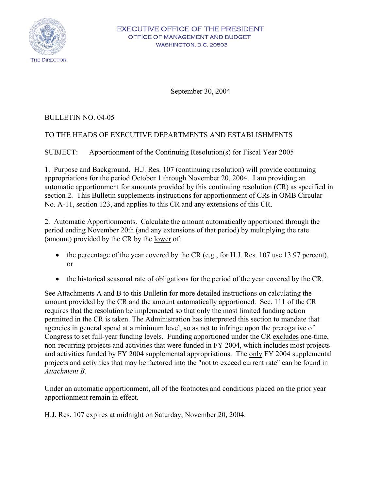

#### EXECUTIVE OFFICE OF THE PRESIDENT OFFICE OF MANAGEMENT AND BUDGET WASHINGTON, D.C. 20503

September 30, 2004

# BULLETIN NO. 04-05

# TO THE HEADS OF EXECUTIVE DEPARTMENTS AND ESTABLISHMENTS

SUBJECT: Apportionment of the Continuing Resolution(s) for Fiscal Year 2005

1. Purpose and Background. H.J. Res. 107 (continuing resolution) will provide continuing appropriations for the period October 1 through November 20, 2004. I am providing an automatic apportionment for amounts provided by this continuing resolution (CR) as specified in section 2. This Bulletin supplements instructions for apportionment of CRs in OMB Circular No. A-11, section 123, and applies to this CR and any extensions of this CR.

2. Automatic Apportionments. Calculate the amount automatically apportioned through the period ending November 20th (and any extensions of that period) by multiplying the rate (amount) provided by the CR by the lower of:

- the percentage of the year covered by the CR (e.g., for H.J. Res. 107 use 13.97 percent), or
- the historical seasonal rate of obligations for the period of the year covered by the CR.

See Attachments A and B to this Bulletin for more detailed instructions on calculating the amount provided by the CR and the amount automatically apportioned. Sec. 111 of the CR requires that the resolution be implemented so that only the most limited funding action permitted in the CR is taken. The Administration has interpreted this section to mandate that agencies in general spend at a minimum level, so as not to infringe upon the prerogative of Congress to set full-year funding levels. Funding apportioned under the CR excludes one-time, non-recurring projects and activities that were funded in FY 2004, which includes most projects and activities funded by FY 2004 supplemental appropriations. The only FY 2004 supplemental projects and activities that may be factored into the "not to exceed current rate" can be found in *Attachment B*.

Under an automatic apportionment, all of the footnotes and conditions placed on the prior year apportionment remain in effect.

H.J. Res. 107 expires at midnight on Saturday, November 20, 2004.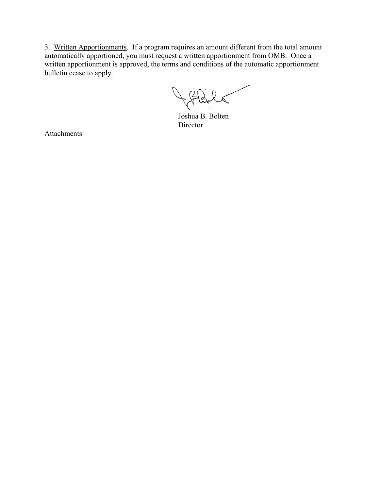3. Written Apportionments. If a program requires an amount different from the total amount automatically apportioned, you must request a written apportionment from OMB. Once a written apportionment is approved, the terms and conditions of the automatic apportionment bulletin cease to apply.

JABILT

Joshua B. Bolten **Director** 

Attachments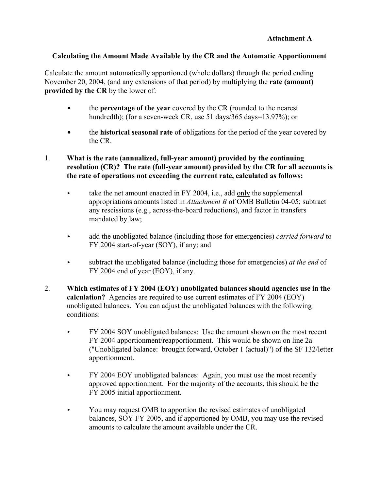#### **Attachment A**

## **Calculating the Amount Made Available by the CR and the Automatic Apportionment**

Calculate the amount automatically apportioned (whole dollars) through the period ending November 20, 2004, (and any extensions of that period) by multiplying the **rate (amount) provided by the CR** by the lower of:

- $\bullet$  the **percentage of the year** covered by the CR (rounded to the nearest hundredth); (for a seven-week CR, use 51 days/365 days=13.97%); or
- **the historical seasonal rate** of obligations for the period of the year covered by the CR.

#### 1. **What is the rate (annualized, full-year amount) provided by the continuing resolution (CR)? The rate (full-year amount) provided by the CR for all accounts is the rate of operations not exceeding the current rate, calculated as follows:**

- take the net amount enacted in FY 2004, i.e., add only the supplemental appropriations amounts listed in *Attachment B* of OMB Bulletin 04-05; subtract any rescissions (e.g., across-the-board reductions), and factor in transfers mandated by law;
- add the unobligated balance (including those for emergencies) *carried forward* to FY 2004 start-of-year (SOY), if any; and
- < subtract the unobligated balance (including those for emergencies) *at the end* of FY 2004 end of year (EOY), if any.
- 2. **Which estimates of FY 2004 (EOY) unobligated balances should agencies use in the calculation?** Agencies are required to use current estimates of FY 2004 (EOY) unobligated balances. You can adjust the unobligated balances with the following conditions:
	- FY 2004 SOY unobligated balances: Use the amount shown on the most recent FY 2004 apportionment/reapportionment. This would be shown on line 2a ("Unobligated balance: brought forward, October 1 (actual)") of the SF 132/letter apportionment.
	- **FY 2004 EOY unobligated balances:** Again, you must use the most recently approved apportionment. For the majority of the accounts, this should be the FY 2005 initial apportionment.
	- You may request OMB to apportion the revised estimates of unobligated balances, SOY FY 2005, and if apportioned by OMB, you may use the revised amounts to calculate the amount available under the CR.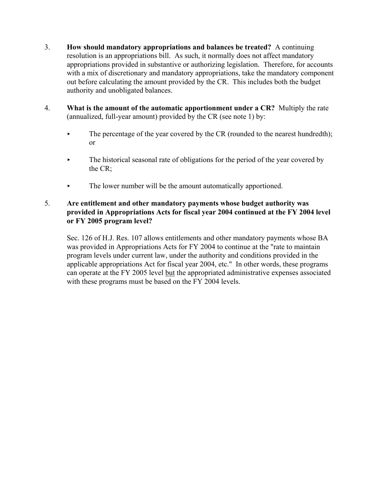- 3. **How should mandatory appropriations and balances be treated?** A continuing resolution is an appropriations bill. As such, it normally does not affect mandatory appropriations provided in substantive or authorizing legislation. Therefore, for accounts with a mix of discretionary and mandatory appropriations, take the mandatory component out before calculating the amount provided by the CR. This includes both the budget authority and unobligated balances.
- 4. **What is the amount of the automatic apportionment under a CR?** Multiply the rate (annualized, full-year amount) provided by the CR (see note 1) by:
	- $\blacktriangleright$  The percentage of the year covered by the CR (rounded to the nearest hundredth); or
	- $\blacktriangleright$  The historical seasonal rate of obligations for the period of the year covered by the CR;
	- $\blacktriangleright$  The lower number will be the amount automatically apportioned.

# 5. **Are entitlement and other mandatory payments whose budget authority was provided in Appropriations Acts for fiscal year 2004 continued at the FY 2004 level or FY 2005 program level?**

Sec. 126 of H.J. Res. 107 allows entitlements and other mandatory payments whose BA was provided in Appropriations Acts for FY 2004 to continue at the "rate to maintain program levels under current law, under the authority and conditions provided in the applicable appropriations Act for fiscal year 2004, etc." In other words, these programs can operate at the FY 2005 level but the appropriated administrative expenses associated with these programs must be based on the FY 2004 levels.